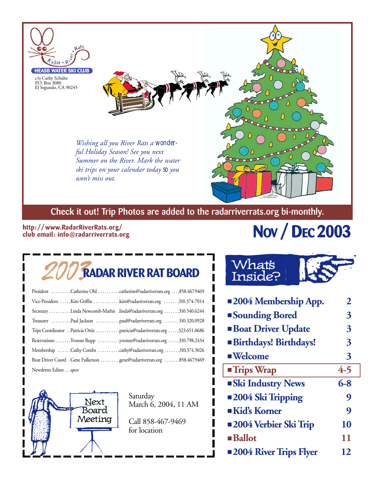

## **Check it out! Trip Photos are added to the radarriverrats.org bi-monthly.**

## **http://www.RadarRiverRats.org/ club email: info@radarriverrats.org**

# **NOV / DEC 2003**

# 2003**RADAR RIVER RAT BOARD**

| President Catherine Ohl catherine@radarriverrats.org858.467.9469          |
|---------------------------------------------------------------------------|
| Vice-President  Kim Griffin  kim@radarriverrats.org 310.374-7014          |
| Secretary Linda Newcomb-Mathis .linda@radarriverrats.org 310.540.6244     |
|                                                                           |
| Trips Coordinator Patricia Ortiz patricia@radarriverrats.org 323.651.0686 |
| Reservations Yvonne Rupp yvonne@radarriverrats.org 310.798.2434           |
| Membership Cathy Combs cathy@radarriverrats.org 310.374.3026              |
| Boat Driver Coord .Gene Fulkerson gene@radarriverrats.org 858.467.9469    |
| Newsletter Editoropen                                                     |



Saturday March 6, 2004, 11 AM

Call 858-467-9469 for location

## What's Inside?

| <b>2004 Membership App.</b>  | 2       |
|------------------------------|---------|
| <b>Sounding Bored</b>        | 3       |
| <b>Boat Driver Update</b>    | 3       |
| <b>Birthdays! Birthdays!</b> | 3       |
| ■ Welcome                    | 3       |
| <b>Trips Wrap</b>            | $4 - 5$ |
| <b>Ski Industry News</b>     | $6 - 8$ |
|                              |         |
| <b>2004 Ski Tripping</b>     | 9       |
| $\blacksquare$ Kid's Korner  | 9       |
| <b>2004 Verbier Ski Trip</b> | 10      |
| <b>Ballot</b>                | 11      |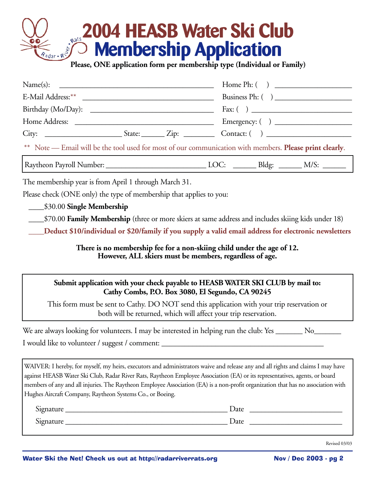# **2004 HEASB Water Ski Club Membership Application Please, ONE application form per membership type (Individual or Family)**

| Name(s):                                                                                                  |                                                                                                                                                                |  |  |  |  |  |
|-----------------------------------------------------------------------------------------------------------|----------------------------------------------------------------------------------------------------------------------------------------------------------------|--|--|--|--|--|
|                                                                                                           |                                                                                                                                                                |  |  |  |  |  |
|                                                                                                           |                                                                                                                                                                |  |  |  |  |  |
|                                                                                                           |                                                                                                                                                                |  |  |  |  |  |
|                                                                                                           |                                                                                                                                                                |  |  |  |  |  |
| ** Note - Email will be the tool used for most of our communication with members. Please print clearly.   |                                                                                                                                                                |  |  |  |  |  |
| Raytheon Payroll Number: ________________________________LOC: _________Bldg: _______ M/S: _______         |                                                                                                                                                                |  |  |  |  |  |
| The membership year is from April 1 through March 31.                                                     |                                                                                                                                                                |  |  |  |  |  |
| Please check (ONE only) the type of membership that applies to you:                                       |                                                                                                                                                                |  |  |  |  |  |
| \$30.00 Single Membership                                                                                 |                                                                                                                                                                |  |  |  |  |  |
|                                                                                                           | \$70.00 <b>Family Membership</b> (three or more skiers at same address and includes skiing kids under 18)                                                      |  |  |  |  |  |
|                                                                                                           | Deduct \$10/individual or \$20/family if you supply a valid email address for electronic newsletters                                                           |  |  |  |  |  |
|                                                                                                           | There is no membership fee for a non-skiing child under the age of 12.<br>However, ALL skiers must be members, regardless of age.                              |  |  |  |  |  |
|                                                                                                           | Submit application with your check payable to HEASB WATER SKI CLUB by mail to:<br>Cathy Combs, P.O. Box 3080, El Segundo, CA 90245                             |  |  |  |  |  |
|                                                                                                           | This form must be sent to Cathy. DO NOT send this application with your trip reservation or<br>both will be returned, which will affect your trip reservation. |  |  |  |  |  |
| We are always looking for volunteers. I may be interested in helping run the club: Yes _______ No________ |                                                                                                                                                                |  |  |  |  |  |
| I would like to volunteer / suggest / comment: _________________________________                          |                                                                                                                                                                |  |  |  |  |  |
|                                                                                                           |                                                                                                                                                                |  |  |  |  |  |

WAIVER: I hereby, for myself, my heirs, executors and administrators waive and release any and all rights and claims I may have against HEASB Water Ski Club, Radar River Rats, Raytheon Employee Association (EA) or its representatives, agents, or board members of any and all injuries. The Raytheon Employee Association (EA) is a non-profit organization that has no association with Hughes Aircraft Company, Raytheon Systems Co., or Boeing.

| ∩∙<br>Signature | Date |
|-----------------|------|
| Signature       | Date |

Revised 03/03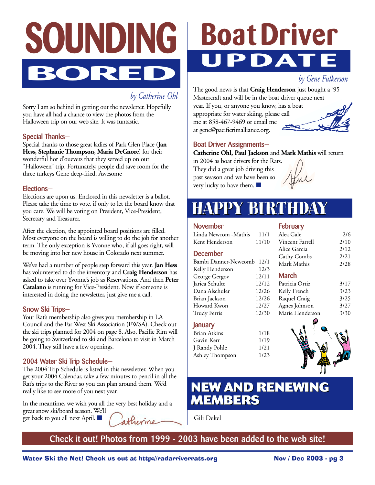

## *by Catherine Ohl*

Sorry I am so behind in getting out the newsletter. Hopefully you have all had a chance to view the photos from the Halloween trip on our web site. It was funtastic.

## **Special Thanks—**

Special thanks to those great ladies of Park Glen Place (**Jan Hess, Stephanie Thompson, Maria DeGnore**) for their wonderful hor d'ouevers that they served up on our "Halloween" trip. Fortunately, people did save room for the three turkeys Gene deep-fried. Awesome

### **Elections—**

Elections are upon us. Enclosed in this newsletter is a ballot. Please take the time to vote, if only to let the board know that you care. We will be voting on President, Vice-President, Secretary and Treasurer.

After the election, the appointed board positions are filled. Most everyone on the board is willing to do the job for another term. The only exception is Yvonne who, if all goes right, will be moving into her new house in Colorado next summer.

We've had a number of people step forward this year. **Jan Hess** has volunteered to do the inventory and **Craig Henderson** has asked to take over Yvonne's job as Reservations. And then **Peter Catalano** is running for Vice-President. Now if someone is interested in doing the newsletter, just give me a call.

### **Snow Ski Trips—**

Your Rat's membership also gives you membership in LA Council and the Far West Ski Association (FWSA). Check out the ski trips planned for 2004 on page 8. Also, Pacific Rim will be going to Switzerland to ski and Barcelona to visit in March 2004. They still have a few openings.

## **2004 Water Ski Trip Schedule—**

The 2004 Trip Schedule is listed in this newsletter. When you get your 2004 Calendar, take a few minutes to pencil in all the Rat's trips to the River so you can plan around them. We'd really like to see more of you next year.

In the meantime, we wish you all the very best holiday and a great snow ski/board season. We'll get back to you all next April. ■ atherine

# **Boat Driver UPDATE**

*by Gene Fulkerson*

The good news is that **Craig Henderson** just bought a '95 Mastercraft and will be in the boat driver queue next

year. If you, or anyone you know, has a boat appropriate for water skiing, please call me at 858-467-9469 or email me at gene@pacificrimalliance.org.



## **Boat Driver Assignments—**

**Catherine Ohl, Paul Jackson** and **Mark Mathis** will return

in 2004 as boat drivers for the Rats. They did a great job driving this past sesason and we have been so very lucky to have them. ■

**February**

# **HAPPY BIRTHDAY HAPPY BIRTHDAY**

## **November**

| Linda Newcom -Mathis | 11/1  | Alea Gale       | 2/6  |
|----------------------|-------|-----------------|------|
| Kent Henderson       | 11/10 | Vincent Farrell | 2/10 |
|                      |       | Alice Garcia    | 2/12 |
| <b>December</b>      |       | Cathy Combs     | 2/21 |
| Bambi Danner-Newcomb | 12/1  | Mark Mathis     | 2/28 |
| Kelly Henderson      | 12/3  |                 |      |
| George Gergov        | 12/11 | <b>March</b>    |      |
| Jarica Schulte       | 12/12 | Patricia Ortiz  | 3/17 |
| Dana Alschuler       | 12/26 | Kelly French    | 3/23 |
| Brian Jackson        | 12/26 | Raquel Craig    | 3/25 |
| Howard Kwon          | 12/27 | Agnes Johnson   | 3/27 |
| <b>Trudy Ferris</b>  | 12/30 | Marie Henderson | 3/30 |
| January              |       |                 |      |

Brian Atkins 1/18<br>Gavin Kerr 1/19 Gavin Kerr J Randy Pohle 1/21 Ashley Thompson 1/23



## **NEW AND RENEWING NEW AND RENEWING MEMBERS MEMBERS**

Gili Dekel

**Check it out! Photos from 1999 - 2003 have been added to the web site!**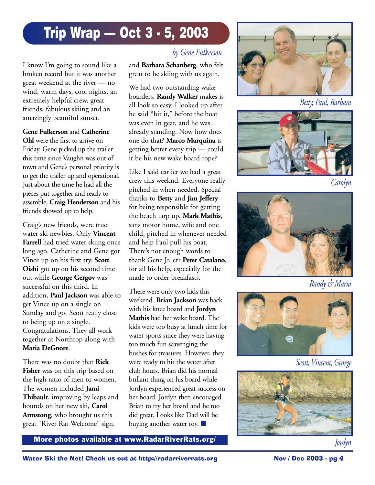# **Trip Wrap — Oct 3 - 5, 2003**

I know I'm going to sound like a broken record but it was another great weekend at the river — no wind, warm days, cool nights, an extremely helpful crew, great friends, fabulous skiing and an amazingly beautiful sunset.

## **Gene Fulkerson** and **Catherine**

**Ohl** were the first to arrive on Friday. Gene picked up the trailer this time since Vaughn was out of town and Gene's personal priority is to get the trailer up and operational. Just about the time he had all the pieces put together and ready to assemble, **Craig Henderson** and his friends showed up to help.

Craig's new friends, were true water ski newbies. Only **Vincent Farrell** had tried water skiing once long ago. Catherine and Gene got Vince up on his first try. **Scott Oishi** got up on his second time out while **George Gergov** was successful on this third. In addition, **Paul Jackson** was able to get Vince up on a single on Sunday and got Scott really close to being up on a single. Congratulations. They all work together at Northrop along with **Maria DeGnore**.

There was no doubt that **Rick Fisher** was on this trip based on the high ratio of men to women. The women included **Jami Thibault**, improving by leaps and bounds on her new ski, **Carol Armstong**, who brought us this great "River Rat Welcome" sign,

## *by Gene Fulkerson*

and **Barbara Schanberg**, who felt great to be skiing with us again.

We had two outstanding wake boarders. **Randy Walker** makes is all look so easy. I looked up after he said "hit it," before the boat was even in gear, and he was already standing. Now how does one do that? **Marco Marquina** is getting better every trip — could it be his new wake board rope?

Like I said earlier we had a great crew this weeknd. Everyone really pitched in when needed. Special thanks to **Betty** and **Jim Jeffery** for being responsible for getting the beach tarp up. **Mark Mathis**, sans motor home, wife and one child, pitched in whenever needed and help Paul pull his boat. There's not enough words to thank Gene Jr, err **Peter Catalano**, for all his help, especially for the made to order breakfasts.

There were only two kids this weekend. **Brian Jackson** was back with his knee board and **Jordyn Mathis** had her wake board. The kids were too busy at lunch time for water sports since they were having too much fun scavenging the bushes for treasures. However, they were ready to hit the water after club hours. Brian did his normal brillant thing on his board while Jordyn experienced great success on her board. Jordyn then encouaged Brian to try her board and he too did great. Looks like Dad will be buying another water toy. ■



*Betty, Paul, Barbara*



*Carolyn*



*Randy & Maria*



*Scott, Vincent, George*



**More photos available at www.RadarRiverRats.org/ Jordyn** *Jordyn*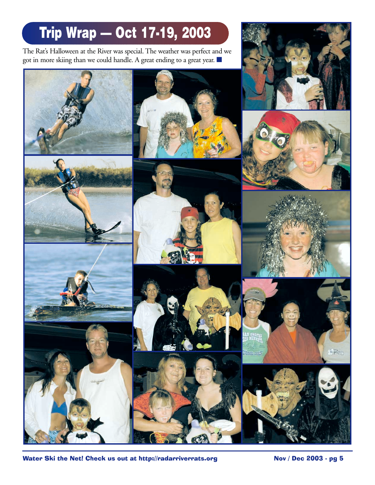# **Trip Wrap — Oct 17-19, 2003**

The Rat's Halloween at the River was special. The weather was perfect and we got in more skiing than we could handle. A great ending to a great year. ■











Water Ski the Net! Check us out at http://radarriverrats.org Nov / Dec 2003 - pg 5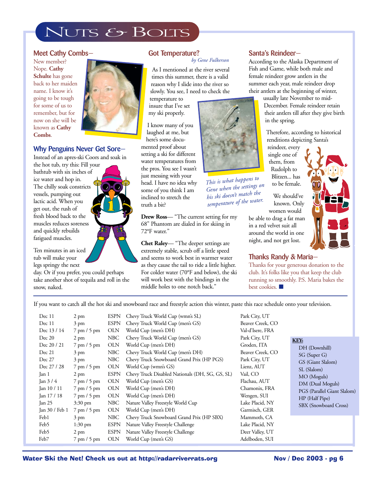# NUTS & BOLTS

## **Meet Cathy Combs—**

New member? Nope. **Cathy Schulte** has gone back to her maiden name. I know it's going to be tough for some of us to remember, but for now on she will be known as **Cathy Combs**.



## **Why Penguins Never Get Sore—**

Instead of an apres-ski Coors and soak in

the hot tub, try this: Fill your bathtub with six inches of ice water and hop in. The chilly soak constricts vessels, pumping out lactic acid. When you get out, the rush of fresh blood back to the muscles reduces soreness and quickly rebuilds fatigued muscles.

Ten minutes in an iced tub will make your legs springy the next

day. Or if you prefer, you could perhaps take another shot of tequila and roll in the snow, naked.

#### **Got Temperature?** *by Gene Fulkerson*

As I mentioned at the river several times this summer, there is a valid reason why I slide into the river so slowly. You see, I need to check the

**Drew Ross**— "The current setting for my 68" Phantom are dialed in for skiing in 72°F water."

**Chet Raley**— "The deeper settings are extremely stable, scrub off a little speed and seems to work best in warmer water as they cause the tail to ride a little higher. For colder water (70°F and below), the ski will work best with the bindings in the middle holes to one notch back."

## **Santa's Reindeer—**

According to the Alaska Department of Fish and Game, while both male and female reindeer grow antlers in the summer each year, male reindeer drop their antlers at the beginning of winter,

usually late November to mid-December. Female reindeer retain their antlers till after they give birth in the spring.

Therefore, according to historical renditions depicting Santa's

reindeer, every single one of them, from Rudolph to Blitzen... has to be female.

We should've known. Only women would

be able to drag a fat man in a red velvet suit all around the world in one night, and not get lost.

## **Thanks Randy & Maria—**

Thanks for your generous donation to the club. It's folks like you that keep the club running so smoothly. P.S. Maria bakes the best cookies. ■

If you want to catch all the hot ski and snowboard race and freestyle action this winter, paste this race schedule onto your television.

| Dec 11           | $2 \text{ pm}$                | <b>ESPN</b> | Chevy Truck World Cup (wmn's SL)                | Park City, UT    |
|------------------|-------------------------------|-------------|-------------------------------------------------|------------------|
| Dec 11           | $3 \text{ pm}$                | <b>ESPN</b> | Chevy Truck World Cup (men's GS)                | Beaver Creek, CO |
| Dec 13 / 14      | $7$ pm $/5$ pm                | <b>OLN</b>  | World Cup (men's DH)                            | Val-d'Isere, FRA |
| Dec 20           | $2 \text{ pm}$                | NBC         | Chevy Truck World Cup (men's GS)                | Park City, UT    |
| Dec 20 / 21      | $7$ pm $/5$ pm                | <b>OLN</b>  | World Cup (men's DH)                            | Groden, ITA      |
| Dec 21           | $3 \text{ pm}$                | NBC         | Chevy Truck World Cup (men's DH)                | Beaver Creek, CO |
| Dec 27           | $3 \text{ pm}$                | NBC         | Chevy Truck Snowboard Grand Prix (HP PGS)       | Park City, UT    |
| Dec 27 / 28      | $7$ pm $/5$ pm                | <b>OLN</b>  | World Cup (wmn's GS)                            | Lienz, AUT       |
| Jan 1            | $2 \text{ pm}$                | <b>ESPN</b> | Chevy Truck Disabled Nationals (DH, SG, GS, SL) | Vail, CO         |
| Jan $3/4$        | $7 \text{ pm} / 5 \text{ pm}$ | <b>OLN</b>  | World Cup (men's GS)                            | Flachau, AUT     |
| Jan $10/11$      | $7$ pm $/5$ pm                | <b>OLN</b>  | World Cup (men's DH)                            | Chamonix, FRA    |
| $\tan 17/18$     | $7$ pm $/5$ pm                | <b>OLN</b>  | World Cup (men's DH)                            | Wengen, SUI      |
| Jan $25$         | $3:30 \text{ pm}$             | NBC         | Nature Valley Freestyle World Cup               | Lake Placid, NY  |
| Jan 30 / Feb 1   | $7$ pm $/5$ pm                | <b>OLN</b>  | World Cup (men's DH)                            | Garmisch, GER    |
| Feb <sub>1</sub> | $3 \text{ pm}$                | NBC         | Chevy Truck Snowboard Grand Prix (HP SBX)       | Mammoth, CA      |
| Feb5             | $1:30 \text{ pm}$             | <b>ESPN</b> | Nature Valley Freestyle Challenge               | Lake Placid, NY  |
| Feb5             | $2 \text{ pm}$                | <b>ESPN</b> | Nature Valley Freestyle Challenge               | Deer Valley, UT  |
| Feb7             | $7 \text{ pm} / 5 \text{ pm}$ | <b>OLN</b>  | World Cup (men's GS)                            | Adelboden, SUI   |

#### **KEY:**

DH (Downhill) SG (Super G) GS (Giant Slalom) SL (Slalom) MO (Moguls) DM (Dual Moguls) PGS (Parallel Giant Slalom) HP (Half Pipe) SBX (Snowboard Cross)

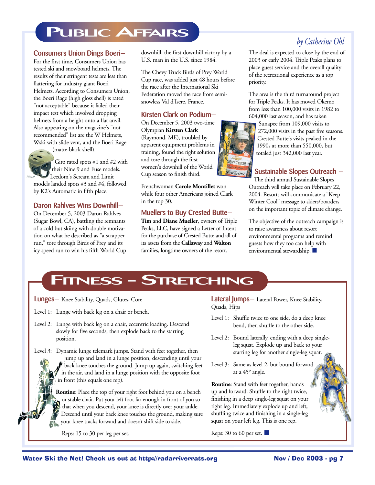# **PUBLIC AFFAIRS**

### **Consumers Union Dings Boeri—**

For the first time, Consumers Union has tested ski and snowboard helmets. The results of their stringent tests are less than flattering for industry giant Boeri Helmets. According to Consumers Union, the Boeri Rage (high gloss shell) is rated "not acceptable" because it failed their impact test which involved dropping helmets from a height onto a flat anvil. Also appearing on the magazine's "not recommended" list are the W Helmets, Wski with slide vent, and the Boeri Rage



*Nine.9*

Giro rated spots #1 and #2 with their Nine.9 and Fuse models. Leedom's Scream and Limit models landed spots #3 and #4, followed

by K2's Automatic in fifth place.

## **Daron Rahlves Wins Downhill—**

On December 5, 2003 Daron Rahlves (Sugar Bowl, CA), battling the remnants of a cold but skiing with double motivation on what he described as "a scrapper run," tore through Birds of Prey and its icy speed run to win his fifth World Cup downhill, the first downhill victory by a U.S. man in the U.S. since 1984.

The Chevy Truck Birds of Prey World Cup race, was added just 48 hours before the race after the International Ski Federation moved the race from semisnowless Val d'Isere, France.

## **Kirsten Clark on Podium—**

On December 5, 2003 two-time Olympian **Kirsten Clark** (Raymond, ME), troubled by apparent equipment problems in training, found the right solution and tore through the first women's downhill of the World Cup season to finish third.

Frenchwoman **Carole Montillet** won while four other Americans joined Clark in the top 30.

### **Muellers to Buy Crested Butte—**

**Tim** and **Diane Mueller**, owners of Triple Peaks, LLC, have signed a Letter of Intent for the purchase of Crested Butte and all of its assets from the **Callaway** and **Walton** families, longtime owners of the resort.

## *by Catherine Ohl*

The deal is expected to close by the end of 2003 or early 2004. Triple Peaks plans to place guest service and the overall quality of the recreational experience as a top priority.

The area is the third turnaround project for Triple Peaks. It has moved Okemo from less than 100,000 visits in 1982 to 604,000 last season, and has taken

Sunapee from 109,000 visits to 272,000 visits in the past five seasons. Crested Butte's visits peaked in the 1990s at more than 550,000, but totaled just 342,000 last year.

## **Sustainable Slopes Outreach —**

The third annual Sustainable Slopes Outreach will take place on February 22, 2004. Resorts will communicate a "Keep Winter Cool" message to skiers/boarders on the important topic of climate change.

The objective of the outreach campaign is to raise awareness about resort environmental programs and remind guests how they too can help with environmental stewardship. ■

## **FITNESS - STRETCHING**

**Lunges—** Knee Stability, Quads, Glutes, Core

Level 1: Lunge with back leg on a chair or bench.

- Level 2: Lunge with back leg on a chair, eccentric loading. Descend slowly for five seconds, then explode back to the starting position.
- Level 3: Dynamic lunge telemark jumps. Stand with feet together, then jump up and land in a lunge position, descending until your back knee touches the ground. Jump up again, switching feet in the air, and land in a lunge position with the opposite foot in front (this equals one rep).

**Routine**: Place the top of your right foot behind you on a bench or stable chair. Put your left foot far enough in front of you so that when you descend, your knee is directly over your ankle. Descend until your back knee touches the ground, making sure your knee tracks forward and doesn't shift side to side.

Reps: 15 to 30 per leg per set.

**Lateral Jumps—** Lateral Power, Knee Stability, Quads, Hips

- Level 1: Shuffle twice to one side, do a deep knee bend, then shuffle to the other side.
- Level 2: Bound laterally, ending with a deep singleleg squat. Explode up and back to your starting leg for another single-leg squat.
- Level 3: Same as level 2, but bound forward at a 45° angle.

**Routine**: Stand with feet together, hands up and forward. Shuffle to the right twice, finishing in a deep single-leg squat on your right leg. Immediately explode up and left, shuffling twice and finishing in a single-leg squat on your left leg. This is one rep.

Reps: 30 to 60 per set.  $\blacksquare$ 

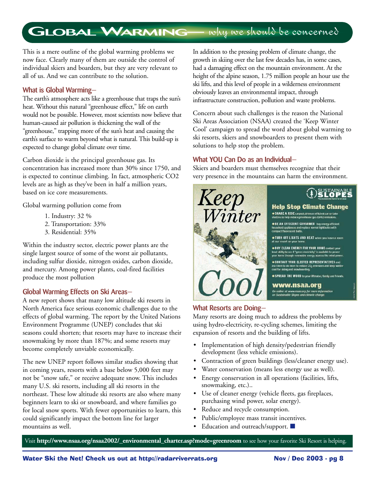# **GLOBAL WARMING** why we should be concerned

This is a mere outline of the global warming problems we now face. Clearly many of them are outside the control of individual skiers and boarders, but they are very relevant to all of us. And we can contribute to the solution.

## **What is Global Warming—**

The earth's atmosphere acts like a greenhouse that traps the sun's heat. Without this natural "greenhouse effect," life on earth would not be possible. However, most scientists now believe that human-caused air pollution is thickening the wall of the "greenhouse," trapping more of the sun's heat and causing the earth's surface to warm beyond what is natural. This build-up is expected to change global climate over time.

Carbon dioxide is the principal greenhouse gas. Its concentration has increased more than 30% since 1750, and is expected to continue climbing. In fact, atmospheric CO2 levels are as high as they've been in half a million years, based on ice core measurements.

Global warming pollution come from

- 1. Industry: 32 %
- 2. Transportation: 33%
- 3. Residential: 35%

Within the industry sector, electric power plants are the single largest source of some of the worst air pollutants, including sulfur dioxide, nitrogen oxides, carbon dioxide, and mercury. Among power plants, coal-fired facilities produce the most pollution

### **Global Warming Effects on Ski Areas—**

A new report shows that many low altitude ski resorts in North America face serious economic challenges due to the effects of global warming. The report by the United Nations Environment Programme (UNEP) concludes that ski seasons could shorten; that resorts may have to increase their snowmaking by more than 187%; and some resorts may become completely unviable economically.

The new UNEP report follows similar studies showing that in coming years, resorts with a base below 5,000 feet may not be "snow safe," or receive adequate snow. This includes many U.S. ski resorts, including all ski resorts in the northeast. These low altitude ski resorts are also where many beginners learn to ski or snowboard, and where families go for local snow sports. With fewer opportunities to learn, this could significantly impact the bottom line for larger mountains as well.

In addition to the pressing problem of climate change, the growth in skiing over the last few decades has, in some cases, had a damaging effect on the mountain environment. At the height of the alpine season, 1.75 million people an hour use the ski lifts, and this level of people in a wilderness environment obviously leaves an environmental impact, through infrastructure construction, pollution and waste problems.

Concern about such challenges is the reason the National Ski Areas Association (NSAA) created the 'Keep Winter Cool' campaign to spread the word about global warming to ski resorts, skiers and snowboarders to present them with solutions to help stop the problem.

## **What YOU Can Do as an Individual—**

Skiers and boarders must themselves recognize that their very presence in the mountains can harm the environment.



## **SUSTAINABLE**<br>**SLOPES**

## **Help Stop Climate Change**

SHARE A RIDE carpool, drive an efficient car or take

• BE AN EFFICIENT CONSUMER buy energy-efficient<br>household appliances and replace normal lightbulbs with<br>compact fluorescent builds.

**. TURN OFF LIGHTS AND HEAT** when you leave a ro

. BUY CLEAN ENERGY FOR YOUR HOME contact your

. CONTACT YOUR ELECTED REPRESENTATIVES and ask them to do more to reduce CO<sub>2</sub> emissions and keep<br>cool for skiing and snowboarding.

**• SPREAD THE WORD** to your liftmates, family and friends.

www.nsaa.org

## **What Resorts are Doing—**

Many resorts are doing much to address the problems by using hydro-electricity, re-cycling schemes, limiting the expansion of resorts and the building of lifts.

- Implementation of high density/pedestrian friendly development (less vehicle emissions).
- Contraction of green buildings (less/cleaner energy use).
- Water conservation (means less energy use as well).
- Energy conservation in all operations (facilities, lifts, snowmaking, etc.)..
- Use of cleaner energy (vehicle fleets, gas fireplaces, purchasing wind power, solar energy).
- Reduce and recycle consumption.
- Public/employee mass transit incentives.
- Education and outreach/support. ■

Visit **http://www.nsaa.org/nsaa2002/\_environmental\_charter.asp?mode=greenroom** to see how your favorite Ski Resort is helping.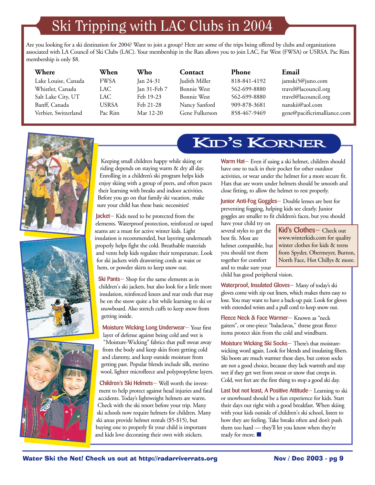# Ski Tripping with LAC Clubs in 2004

Are you looking for a ski destination for 2004? Want to join a group? Here are some of the trips being offered by clubs and organizations associated with LA Council of Ski Clubs (LAC). Your membership in the Rats allows you to join LAC, Far West (FWSA) or USRSA. Pac Rim membership is only \$8.

| Where                | When         | Who          | Contact            | <b>Phone</b> | Email                       |
|----------------------|--------------|--------------|--------------------|--------------|-----------------------------|
| Lake Louise, Canada  | <b>FWSA</b>  | Jan 24-31    | Judith Miller      | 818-841-4192 | jamski5@juno.com            |
| Whistler, Canada     | LAC          | Jan 31-Feb 7 | <b>Bonnie West</b> | 562-699-8880 | travel@lacouncil.org        |
| Salt Lake City, UT   | LAC          | Feb 19-23    | Bonnie West        | 562-699-8880 | travel@lacouncil.org        |
| Banff, Canada        | <b>USRSA</b> | Feb 21-28    | Nancy Sanford      | 909-878-3681 | nanskii@aol.com             |
| Verbier, Switzerland | Pac Rim      | Mar 12-20    | Gene Fulkerson     | 858-467-9469 | gene@pacificrimalliance.com |
|                      |              |              |                    |              |                             |







Keeping small children happy while skiing or riding depends on staying warm & dry all day. Enrolling in a children's ski program helps kids enjoy skiing with a group of peers, and often paces their learning with breaks and indoor activities. Before you go on that family ski vacation, make sure your child has these basic necessities!

**Jacket—** Kids need to be protected from the elements. Waterproof protection, reinforced or taped seams are a must for active winter kids. Light insulation is recommended, but layering underneath properly helps fight the cold. Breathable materials and vents help kids regulate their temperature. Look for ski jackets with drawstring cords at waist or hem, or powder skirts to keep snow out.

**Ski Pants—** Shop for the same elements as in children's ski jackets, but also look for a little more insulation, reinforced knees and rear ends that may be on the snow quite a bit while learning to ski or snowboard. Also stretch cuffs to keep snow from getting inside.

**Moisture Wicking Long Underwear—** Your first layer of defense against being cold and wet is "Moisture-Wicking" fabrics that pull sweat away from the body and keep skin from getting cold and clammy, and keep outside moisture from getting past. Popular blends include silk, merino wool, lighter microfleece and polypropylene layers.

**Children's Ski Helmets—** Well worth the investment to help protect against head injuries and fatal accidents. Today's lightweight helmets are warm. Check with the ski resort before your trip. Many ski schools now require helmets for children. Many ski areas provide helmet rentals (\$5-\$15), but buying one to properly fit your child is important and kids love decorating their own with stickers.

# KID'S KORNER

**Warm Hat—** Even if using a ski helmet, children should have one to tuck in their pocket for other outdoor activities, or wear under the helmet for a more secure fit. Hats that are worn under helmets should be smooth and close fitting, to allow the helmet to rest properly.

**Junior Anti-Fog Goggles—** Double lenses are best for preventing fogging, helping kids see clearly. Junior goggles are smaller to fit children's faces, but you should

have your child try on several styles to get the best fit. Most are helmet compatible, but you should test them together for comfort and to make sure your

**Kid's Clothes—** Check out www.winterkids.com for quality winter clothes for kids & teens from Spyder, Obermeyer, Burton, North Face, Hot Chillys & more.

child has good peripheral vision.

**Waterproof, Insulated Gloves—** Many of today's ski gloves come with zip out liners, which makes them easy to lose. You may want to have a back-up pair. Look for gloves with extended wrists and a pull cord to keep snow out.

**Fleece Neck & Face Warmer—** Known as "neck gaiters", or one-piece "balaclavas," threse great fleece items protect skin from the cold and windburn.

**Moisture Wicking Ski Socks—** There's that moisturewicking word again. Look for blends and insulating fibers. Ski boots are much warmer these days, but cotton socks are not a good choice, because they lack warmth and stay wet if they get wet from sweat or snow that creeps in. Cold, wet feet are the first thing to stop a good ski day.

**Last but not least, A Positive Attitude—** Learning to ski or snowboard should be a fun experience for kids. Start their days out right with a good breakfast. When skiing with your kids outside of children's ski school, listen to how they are feeling. Take breaks often and don't push them too hard — they'll let you know when they're ready for more. ■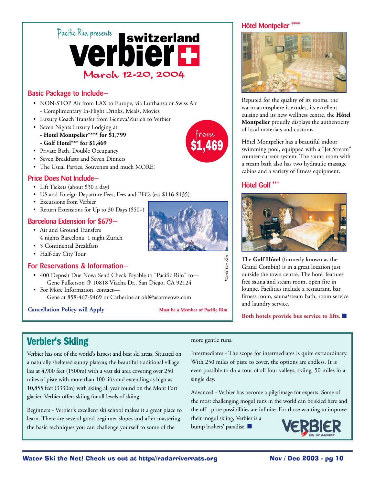# Pacific Riux presents<br> **Verbier Dier II** March 12-20, 2004

## **Basic Package to Include—**

- NON-STOP Air from LAX to Europe, via Lufthansa or Swiss Air - Complimentary In-Flight Drinks, Meals, Movies
- Luxury Coach Transfer from Geneva/Zurich to Verbier
- Seven Nights Luxury Lodging at
	- **Hotel Montpelier\*\*\*\* for \$1,799 - Golf Hotel\*\*\* for \$1,469**
- Private Bath, Double Occupancy
- Seven Breakfasts and Seven Dinners
- The Usual Parties, Souvenirs and much MORE!

## **Price Does Not Include—**

- Lift Tickets (about \$30 a day)
- US and Foreign Departure Fees, Fees and PFCs (est \$116-\$135)
- Excursions from Verbier
- Return Extensions for Up to 30 Days (\$50+)

## **Barcelona Extension for \$679—**

- Air and Ground Transfers 4 nights Barcelona, 1 night Zurich
- 5 Continental Breakfasts
- Half-day City Tour

## **For Reservations & Information—**

- 400 Deposit Due Now: Send Check Payable to "Pacific Rim" to— Gene Fulkerson @ 10818 Viacha Dr., San Diego, CA 92124
- For More Information, contact— Gene at 858-467-9469 or Catherine at ohl@acatmeowz.com

### **Cancellation Policy will Apply Must be a Member of Pacific Rim**

#### **Hôtel Montpelier \*\*\*\***



Reputed for the quality of its rooms, the warm atmosphere it exudes, its excellent cuisine and its new wellness centre, the **Hôtel Montpelier** proudly displays the authenticity of local materials and customs.

Hôtel Montpelier has a beautiful indoor swimming pool, equipped with a "Jet Stream" counter-current system. The sauna room with a steam bath also has two hydraulic massage cabins and a variety of fitness equipment.

## **Hôtel Golf \*\*\***



The **Golf Hôtel** (formerly known as the Grand Combin) is in a great location just outside the town centre. The hotel features free sauna and steam room, open fire in lounge. Facilities include a restaurant, bar, fitness room, sauna/steam bath, room service and laundry service.

**Both hotels provide bus service to lifts.** ■

## **Verbier's Skiing**

Verbier has one of the world's largest and best ski areas. Situated on a naturally sheltered sunny plateau; the beautiful traditional village lies at 4,900 feet (1500m) with a vast ski area covering over 250 miles of piste with more than 100 lifts and extending as high as 10,855 feet (3330m) with skiing all year round on the Mont Fort glacier. Verbier offers skiing for all levels of skiing.

Beginners - Verbier's excellent ski school makes it a great place to learn. There are several good beginner slopes and after mastering the basic techniques you can challenge yourself to some of the

#### more gentle runs.

*World On Skis*

Vorld On Skis

Intermediates - The scope for intermediates is quite extraordinary. With 250 miles of piste to cover, the options are endless. It is even possible to do a tour of all four valleys, skiing 50 miles in a single day.

Advanced - Verbier has become a pilgrimage for experts. Some of the most challenging mogul runs in the world can be skied here and the off - piste possibilities are infinite. For those wanting to improve

their mogul skiing, Verbier is a bump bashers' paradise. ■





from \$1,469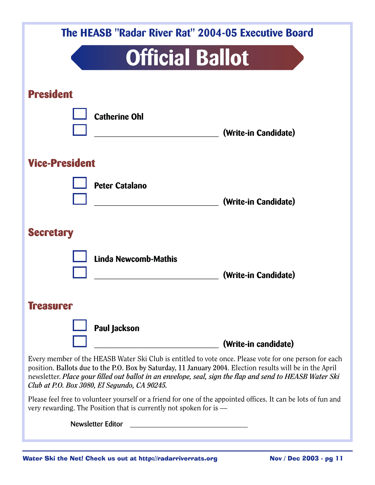|                       |                             | The HEASB "Radar River Rat" 2004-05 Executive Board                                                    |  |
|-----------------------|-----------------------------|--------------------------------------------------------------------------------------------------------|--|
|                       | <b>Official Ballot</b>      |                                                                                                        |  |
| <b>President</b>      |                             |                                                                                                        |  |
|                       | <b>Catherine Ohl</b>        | (Write-in Candidate)                                                                                   |  |
| <b>Vice-President</b> |                             |                                                                                                        |  |
|                       | <b>Peter Catalano</b>       | (Write-in Candidate)                                                                                   |  |
| <b>Secretary</b>      |                             |                                                                                                        |  |
|                       | <b>Linda Newcomb-Mathis</b> | (Write-in Candidate)                                                                                   |  |
| <b>Treasurer</b>      |                             |                                                                                                        |  |
|                       | Paul Jackson                | (Write-in candidate)                                                                                   |  |
|                       |                             | Every member of the HEASB Water Ski Club is entitled to vote once. Please vote for one person for each |  |

position. **Ballots due to the P.O. Box by Saturday, 11 January 2004**. Election results will be in the April newsletter. *Place your filled out ballot in an envelope, seal, sign the flap and send to HEASB Water Ski Club at P.O. Box 3080, El Segundo, CA 90245.*

Please feel free to volunteer yourself or a friend for one of the appointed offices. It can be lots of fun and very rewarding. The Position that is currently not spoken for is —

Newsletter Editor